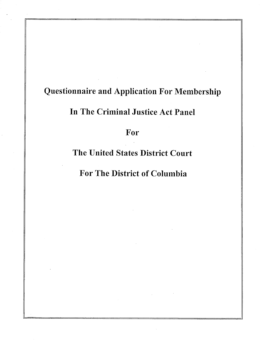# **Questionnaire and Application For Membership**

# **In The Criminal Justice Act Panel**

## **For**

# **The United States District Court**

# **For The District of Columbia**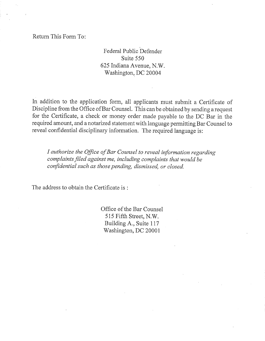Retum This Form To:

## Federal Public Defender Suite 550 625 Indiana Avenue, N.W. Washington, DC 20004

In addition to the application form, all applicants must submit a Certificate of Discipline from the Office of Bar Counsel. This can be obtained by sending a request for the Certificate, a check or money order made payable to the DC Bar in the required amount, and a notarized statement with language permitting Bar Counsel to reveal confidential disciplinary information. The required language is:

*/ authorize the Office of Bar Counsel to reveal information regarding complaints filed against me, including complaints that would be confidential such as those pending, dismissed, or closed.* 

The address to obtain the Certificate is :

Office of the Bar Counsel 515 Fifth Street, N.W. Building A., Suite 117 Washington, DC 20001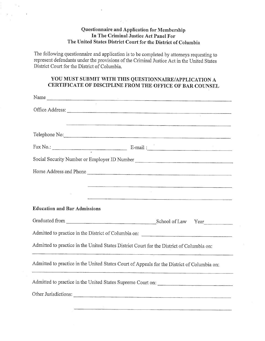### **Questionnaire and Application for Membership In The Criminal Justice Act Panel For The United States District Court for the District of Columbia**

The following questionnaire and application is to be completed by attorneys requesting to represent defendants under the provisions of the Criminal Justice Act in the United States District Court for the District of Columbia.

### **Y OU MUST SUBMIT WITH THIS QUESTIONNAIRE/APPLICATION A CERTIFICATE OF DISCIPLINE FROM THE OFFICE OF BAR COUNSEL**

| Name                                                                                        |                                                                                                                                                                                                                                          |
|---------------------------------------------------------------------------------------------|------------------------------------------------------------------------------------------------------------------------------------------------------------------------------------------------------------------------------------------|
| Office Address:                                                                             |                                                                                                                                                                                                                                          |
| Telephone No:                                                                               | <del>, produced and the completion of the control complete theory of the control of the control of the control of the control of the control of the control of the control of the control of the control of the control of the con</del> |
|                                                                                             | $\text{Fax No.:}$ E-mail:                                                                                                                                                                                                                |
|                                                                                             | Social Security Number or Employer ID Number ___________________________________                                                                                                                                                         |
| Home Address and Phone                                                                      |                                                                                                                                                                                                                                          |
|                                                                                             |                                                                                                                                                                                                                                          |
|                                                                                             | .<br>1. The Marie Louis Communication of the Communication of the Communication of the Communication of the Communi                                                                                                                      |
| <b>Education and Bar Admissions</b>                                                         |                                                                                                                                                                                                                                          |
|                                                                                             |                                                                                                                                                                                                                                          |
|                                                                                             |                                                                                                                                                                                                                                          |
| Admitted to practice in the United States District Court for the District of Columbia on:   |                                                                                                                                                                                                                                          |
| Admitted to practice in the United States Court of Appeals for the District of Columbia on: |                                                                                                                                                                                                                                          |
|                                                                                             |                                                                                                                                                                                                                                          |
|                                                                                             |                                                                                                                                                                                                                                          |
|                                                                                             |                                                                                                                                                                                                                                          |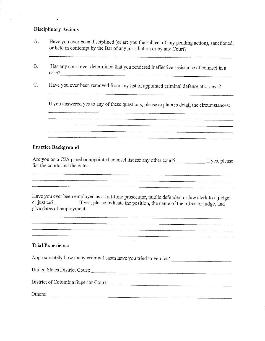#### **Disciplinary Actions**

- A. Have you ever been disciplined (or are you the subject of any pending action), sanctioned, or held in contempt by the Bar of any jurisdiction or by any Court?
- Has any court ever determined that you rendered ineffective assistance of counsel in a  $B.$ case?

Have you ever been removed from any list of appointed criminal defense attorneys?  $C.$ 

If you answered yes to any of these questions, please explain in detail the circumstances:

a a componente de la componente de la componente de la componente de la componente de la componente de la comp

#### **Practice Background**

Are you on a CJA panel or appointed counsel list for any other court? If yes, please list the courts and the dates.

Have you ever been employed as a full-time prosecutor, public defender, or law clerk to a judge or justice? If yes, please indicate the position, the name of the office or judge, and give dates of employment:

<u>. Herbert der Stadt der Stadt der Stadt der Stadt der Stadt der Stadt der Stadt der Stadt der Stadt der Stadt</u>

#### **Trial Experience**

Approximately how many criminal cases have you tried to verdict? United States District Court:

District of Columbia Superior Court:

| Others:                                                                                                                     |
|-----------------------------------------------------------------------------------------------------------------------------|
| _________________<br>--------<br><b>Constitution of the American Services</b><br>-------<br>----<br>____<br>-----<br>------ |